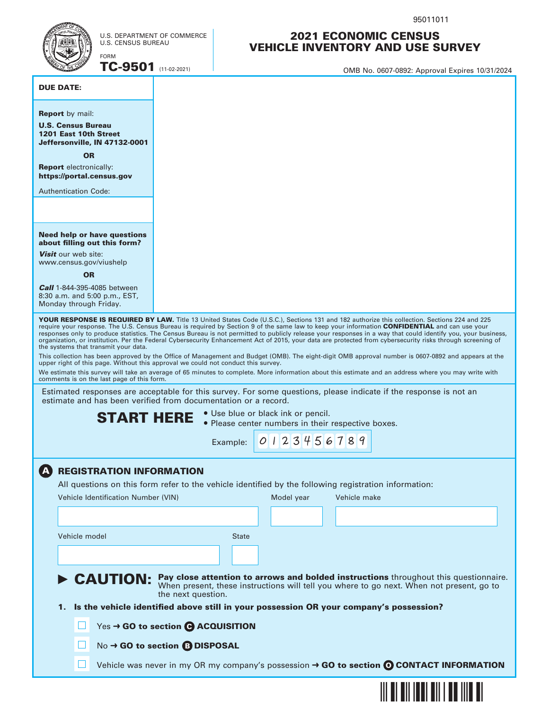



U.S. DEPARTMENT OF COMMERCE U.S. CENSUS BUREAU

**TC-9501** (11-02-2021)  $\blacksquare$  OMB No. 0607-0892: Approval Expires 10/31/2024

#### DUE DATE:

#### U.S. Census Bureau 1201 East 10th Street Jeffersonville, IN 47132-0001 **Report** by mail:

OR

Report electronically: https://portal.census.gov

Authentication Code:

#### Need help or have questions about filling out this form?

Visit our web site: www.census.gov/viushelp

**OR** 

**Call** 1-844-395-4085 between 8:30 a.m. and 5:00 p.m., EST, Monday through Friday.

YOUR RESPONSE IS REQUIRED BY LAW. Title 13 United States Code (U.S.C.), Sections 131 and 182 authorize this collection. Sections 224 and 225 require your response. The U.S. Census Bureau is required by Section 9 of the same law to keep your information CONFIDENTIAL and can use your responses only to produce statistics. The Census Bureau is not permitted to publicly release your responses in a way that could identify you, your business, organization, or institution. Per the Federal Cybersecurity Enhancement Act of 2015, your data are protected from cybersecurity risks through screening of the systems that transmit your data.

This collection has been approved by the Office of Management and Budget (OMB). The eight-digit OMB approval number is 0607-0892 and appears at the upper right of this page. Without this approval we could not conduct this survey.

We estimate this survey will take an average of 65 minutes to complete. More information about this estimate and an address where you may write with comments is on the last page of this form.

Estimated responses are acceptable for this survey. For some questions, please indicate if the response is not an estimate and has been verified from documentation or a record.

**START HERE**  $\cdot$  Use blue or black ink or pencil.<br>
Please center numbers in their respective boxes.

Example: 0 1 2 3 4 5 6 7 8 9

## **A REGISTRATION INFORMATION**

All questions on this form refer to the vehicle identified by the following registration information:

| Vehicle Identification Number (VIN) |                                      | Model year | Vehicle make                                                                                                                                                                                     |
|-------------------------------------|--------------------------------------|------------|--------------------------------------------------------------------------------------------------------------------------------------------------------------------------------------------------|
|                                     |                                      |            |                                                                                                                                                                                                  |
| Vehicle model                       | <b>State</b>                         |            |                                                                                                                                                                                                  |
|                                     |                                      |            |                                                                                                                                                                                                  |
|                                     | the next question.                   |            | <b>CAUTION:</b> Pay close attention to arrows and bolded instructions throughout this questionnaire.<br>When present, these instructions will tell you where to go next. When not present, go to |
| 1.                                  |                                      |            | Is the vehicle identified above still in your possession OR your company's possession?                                                                                                           |
|                                     | Yes → GO to section ● ACQUISITION    |            |                                                                                                                                                                                                  |
|                                     | No → GO to section <b>B DISPOSAL</b> |            |                                                                                                                                                                                                  |
|                                     |                                      |            | Vehicle was never in my OR my company's possession $\rightarrow$ GO to section $\odot$ CONTACT INFORMATION                                                                                       |



2021 ECONOMIC CENSUS VEHICLE INVENTORY AND USE SURVEY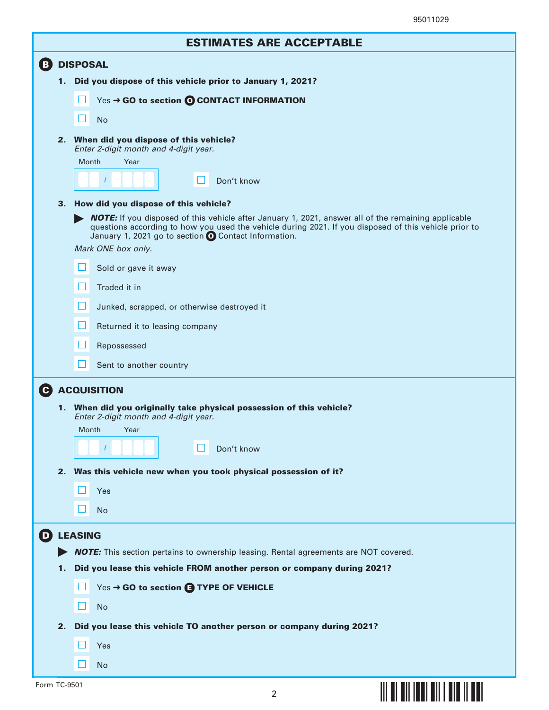# ESTIMATES ARE ACCEPTABLE

| B.           |    | <b>DISPOSAL</b>                                                                                                                                                                                                                                                             |
|--------------|----|-----------------------------------------------------------------------------------------------------------------------------------------------------------------------------------------------------------------------------------------------------------------------------|
|              | 1. | Did you dispose of this vehicle prior to January 1, 2021?                                                                                                                                                                                                                   |
|              |    | Yes → GO to section © CONTACT INFORMATION                                                                                                                                                                                                                                   |
|              |    | <b>No</b>                                                                                                                                                                                                                                                                   |
|              |    | 2. When did you dispose of this vehicle?<br>Enter 2-digit month and 4-digit year.                                                                                                                                                                                           |
|              |    | Month<br>Year                                                                                                                                                                                                                                                               |
|              |    | Don't know                                                                                                                                                                                                                                                                  |
|              | 3. | How did you dispose of this vehicle?                                                                                                                                                                                                                                        |
|              |    | <b>NOTE:</b> If you disposed of this vehicle after January 1, 2021, answer all of the remaining applicable<br>questions according to how you used the vehicle during 2021. If you disposed of this vehicle prior to<br>January 1, 2021 go to section O Contact Information. |
|              |    | Mark ONE box only.                                                                                                                                                                                                                                                          |
|              |    | Sold or gave it away                                                                                                                                                                                                                                                        |
|              |    | Traded it in                                                                                                                                                                                                                                                                |
|              |    | ப<br>Junked, scrapped, or otherwise destroyed it                                                                                                                                                                                                                            |
|              |    | ப<br>Returned it to leasing company                                                                                                                                                                                                                                         |
|              |    | H<br>Repossessed                                                                                                                                                                                                                                                            |
|              |    | Sent to another country                                                                                                                                                                                                                                                     |
|              |    |                                                                                                                                                                                                                                                                             |
|              |    | <b>G</b> ACQUISITION<br>1. When did you originally take physical possession of this vehicle?                                                                                                                                                                                |
|              |    | Enter 2-digit month and 4-digit year.                                                                                                                                                                                                                                       |
|              |    | Month<br>Year                                                                                                                                                                                                                                                               |
|              |    | Don't know<br>$\sqrt{2}$                                                                                                                                                                                                                                                    |
|              |    | 2. Was this vehicle new when you took physical possession of it?                                                                                                                                                                                                            |
|              |    | Yes                                                                                                                                                                                                                                                                         |
|              |    | <b>No</b>                                                                                                                                                                                                                                                                   |
|              |    | <b>D</b> LEASING                                                                                                                                                                                                                                                            |
|              |    | <b>NOTE:</b> This section pertains to ownership leasing. Rental agreements are NOT covered.                                                                                                                                                                                 |
|              | 1. | Did you lease this vehicle FROM another person or company during 2021?                                                                                                                                                                                                      |
|              |    | Yes → GO to section <b>B TYPE OF VEHICLE</b>                                                                                                                                                                                                                                |
|              |    | H<br><b>No</b>                                                                                                                                                                                                                                                              |
|              | 2. | Did you lease this vehicle TO another person or company during 2021?                                                                                                                                                                                                        |
|              |    | Yes                                                                                                                                                                                                                                                                         |
|              |    | <b>No</b>                                                                                                                                                                                                                                                                   |
|              |    |                                                                                                                                                                                                                                                                             |
| Form TC-9501 |    | $\overline{2}$                                                                                                                                                                                                                                                              |
|              |    |                                                                                                                                                                                                                                                                             |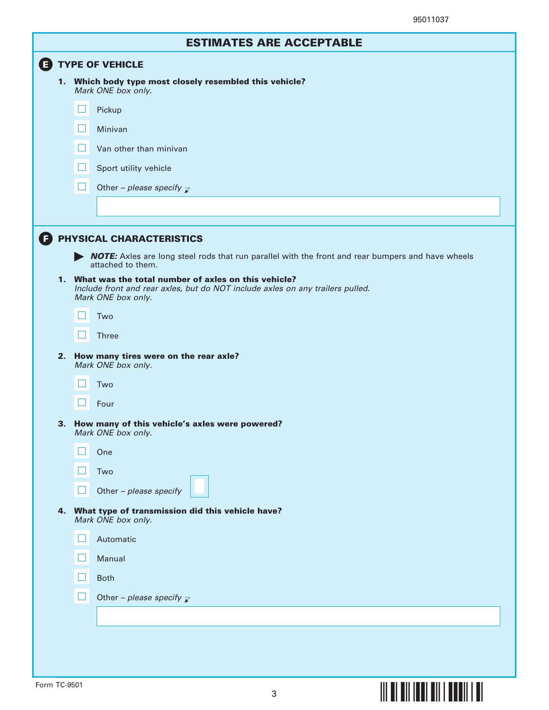**§¢"+F¤**

|                           | <b>ESTIMATES ARE ACCEPTABLE</b>                                                                                               |  |  |  |
|---------------------------|-------------------------------------------------------------------------------------------------------------------------------|--|--|--|
| <b>ED TYPE OF VEHICLE</b> |                                                                                                                               |  |  |  |
|                           | 1. Which body type most closely resembled this vehicle?<br>Mark ONE box only.                                                 |  |  |  |
|                           | ப<br>Pickup                                                                                                                   |  |  |  |
|                           | ப<br>Minivan                                                                                                                  |  |  |  |
|                           | $\mathsf{L}$<br>Van other than minivan                                                                                        |  |  |  |
|                           | ப<br>Sport utility vehicle                                                                                                    |  |  |  |
|                           | П<br>Other – please specify $\mathbb{Z}$                                                                                      |  |  |  |
|                           |                                                                                                                               |  |  |  |
|                           |                                                                                                                               |  |  |  |
| (F)                       | PHYSICAL CHARACTERISTICS<br>MOTE: Axles are long steel rods that run parallel with the front and rear bumpers and have wheels |  |  |  |
|                           | attached to them.<br>1. What was the total number of axles on this vehicle?                                                   |  |  |  |
|                           | Include front and rear axles, but do NOT include axles on any trailers pulled.<br>Mark ONE box only.                          |  |  |  |
|                           | H<br>Two                                                                                                                      |  |  |  |
|                           | Ш<br><b>Three</b>                                                                                                             |  |  |  |
|                           | 2. How many tires were on the rear axle?<br>Mark ONE box only.                                                                |  |  |  |
|                           | LΙ<br>Two                                                                                                                     |  |  |  |
|                           | H<br>Four                                                                                                                     |  |  |  |
|                           | 3. How many of this vehicle's axles were powered?<br>Mark ONE box only.                                                       |  |  |  |
|                           | One                                                                                                                           |  |  |  |
|                           | Two                                                                                                                           |  |  |  |
|                           | Other - please specify<br>ப                                                                                                   |  |  |  |
| 4.                        | What type of transmission did this vehicle have?<br>Mark ONE box only.                                                        |  |  |  |
|                           | Automatic                                                                                                                     |  |  |  |
|                           | Manual                                                                                                                        |  |  |  |
|                           | H<br><b>Both</b>                                                                                                              |  |  |  |
|                           | H<br>Other - please specify $\mathbb{Z}$                                                                                      |  |  |  |
|                           |                                                                                                                               |  |  |  |
|                           |                                                                                                                               |  |  |  |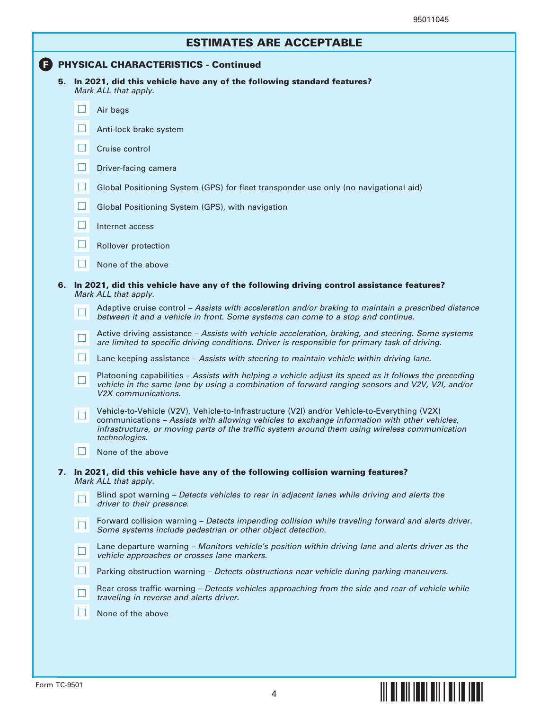|  | <b>ESTIMATES ARE ACCEPTABLE</b> |
|--|---------------------------------|
|--|---------------------------------|

## **F** PHYSICAL CHARACTERISTICS - Continued

5. In 2021, did this vehicle have any of the following standard features? Mark ALL that apply.

|    |        | Air bags                                                                                                                                                                                                                                                                                                        |
|----|--------|-----------------------------------------------------------------------------------------------------------------------------------------------------------------------------------------------------------------------------------------------------------------------------------------------------------------|
|    |        | Anti-lock brake system                                                                                                                                                                                                                                                                                          |
|    | Ш      | Cruise control                                                                                                                                                                                                                                                                                                  |
|    | $\Box$ | Driver-facing camera                                                                                                                                                                                                                                                                                            |
|    | Ш      | Global Positioning System (GPS) for fleet transponder use only (no navigational aid)                                                                                                                                                                                                                            |
|    | ப      | Global Positioning System (GPS), with navigation                                                                                                                                                                                                                                                                |
|    | H      | Internet access                                                                                                                                                                                                                                                                                                 |
|    | Ш      | Rollover protection                                                                                                                                                                                                                                                                                             |
|    | ப      | None of the above                                                                                                                                                                                                                                                                                               |
| 6. |        | In 2021, did this vehicle have any of the following driving control assistance features?<br>Mark ALL that apply.                                                                                                                                                                                                |
|    | $\Box$ | Adaptive cruise control – Assists with acceleration and/or braking to maintain a prescribed distance<br>between it and a vehicle in front. Some systems can come to a stop and continue.                                                                                                                        |
|    | $\Box$ | Active driving assistance - Assists with vehicle acceleration, braking, and steering. Some systems<br>are limited to specific driving conditions. Driver is responsible for primary task of driving.                                                                                                            |
|    | $\Box$ | Lane keeping assistance – Assists with steering to maintain vehicle within driving lane.                                                                                                                                                                                                                        |
|    | $\Box$ | Platooning capabilities - Assists with helping a vehicle adjust its speed as it follows the preceding<br>vehicle in the same lane by using a combination of forward ranging sensors and V2V, V2I, and/or<br>V <sub>2</sub> X communications.                                                                    |
|    | $\Box$ | Vehicle-to-Vehicle (V2V), Vehicle-to-Infrastructure (V2I) and/or Vehicle-to-Everything (V2X)<br>communications - Assists with allowing vehicles to exchange information with other vehicles,<br>infrastructure, or moving parts of the traffic system around them using wireless communication<br>technologies. |
|    | $\Box$ | None of the above                                                                                                                                                                                                                                                                                               |
| 7. |        | In 2021, did this vehicle have any of the following collision warning features?<br>Mark ALL that apply.                                                                                                                                                                                                         |
|    | ப      | Blind spot warning - Detects vehicles to rear in adjacent lanes while driving and alerts the<br>driver to their presence.                                                                                                                                                                                       |
|    |        | Forward collision warning - Detects impending collision while traveling forward and alerts driver.<br>Some systems include pedestrian or other object detection.                                                                                                                                                |
|    |        | Lane departure warning - Monitors vehicle's position within driving lane and alerts driver as the<br>vehicle approaches or crosses lane markers.                                                                                                                                                                |
|    | 囗      | Parking obstruction warning - Detects obstructions near vehicle during parking maneuvers.                                                                                                                                                                                                                       |
|    |        |                                                                                                                                                                                                                                                                                                                 |
|    |        | Rear cross traffic warning - Detects vehicles approaching from the side and rear of vehicle while<br>traveling in reverse and alerts driver.                                                                                                                                                                    |

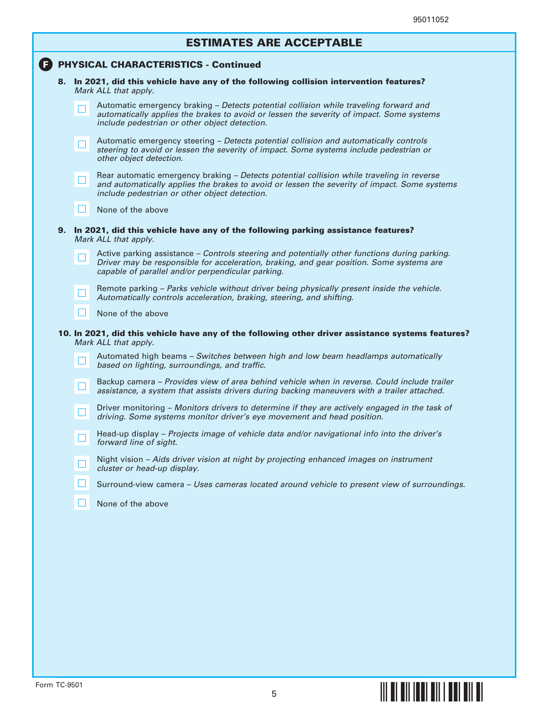| <b>ESTIMATES ARE ACCEPTABLE</b> |
|---------------------------------|
|---------------------------------|

|    |        | <b>PHYSICAL CHARACTERISTICS - Continued</b>                                                                                                                                                                                                    |
|----|--------|------------------------------------------------------------------------------------------------------------------------------------------------------------------------------------------------------------------------------------------------|
|    |        | 8. In 2021, did this vehicle have any of the following collision intervention features?<br>Mark ALL that apply.                                                                                                                                |
|    | - 1    | Automatic emergency braking - Detects potential collision while traveling forward and<br>automatically applies the brakes to avoid or lessen the severity of impact. Some systems<br>include pedestrian or other object detection.             |
|    | $\Box$ | Automatic emergency steering – Detects potential collision and automatically controls<br>steering to avoid or lessen the severity of impact. Some systems include pedestrian or<br>other object detection.                                     |
|    | ⊔      | Rear automatic emergency braking - Detects potential collision while traveling in reverse<br>and automatically applies the brakes to avoid or lessen the severity of impact. Some systems<br>include pedestrian or other object detection.     |
|    | ⊔      | None of the above                                                                                                                                                                                                                              |
| 9. |        | In 2021, did this vehicle have any of the following parking assistance features?<br>Mark ALL that apply.                                                                                                                                       |
|    | H      | Active parking assistance - Controls steering and potentially other functions during parking.<br>Driver may be responsible for acceleration, braking, and gear position. Some systems are<br>capable of parallel and/or perpendicular parking. |
|    | ப      | Remote parking - Parks vehicle without driver being physically present inside the vehicle.<br>Automatically controls acceleration, braking, steering, and shifting.                                                                            |
|    | ⊔      | None of the above                                                                                                                                                                                                                              |
|    |        | 10. In 2021, did this vehicle have any of the following other driver assistance systems features?<br>Mark ALL that apply.                                                                                                                      |
|    | $\Box$ | Automated high beams - Switches between high and low beam headlamps automatically<br>based on lighting, surroundings, and traffic.                                                                                                             |
|    | ш      | Backup camera – Provides view of area behind vehicle when in reverse. Could include trailer<br>assistance, a system that assists drivers during backing maneuvers with a trailer attached.                                                     |
|    | $\Box$ | Driver monitoring - Monitors drivers to determine if they are actively engaged in the task of<br>driving. Some systems monitor driver's eye movement and head position.                                                                        |
|    |        | Head-up display - Projects image of vehicle data and/or navigational info into the driver's<br>forward line of sight.                                                                                                                          |
|    |        | Night vision - Aids driver vision at night by projecting enhanced images on instrument<br>cluster or head-up display.                                                                                                                          |
|    |        | Surround-view camera - Uses cameras located around vehicle to present view of surroundings.                                                                                                                                                    |
|    |        |                                                                                                                                                                                                                                                |

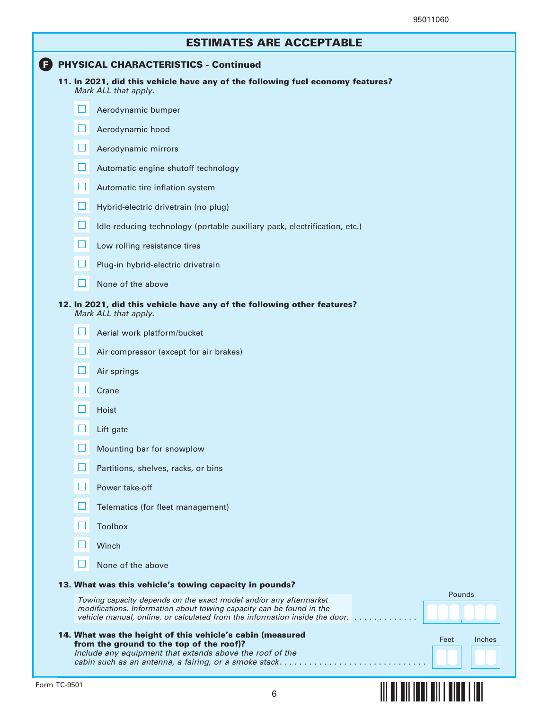## **F** PHYSICAL CHARACTERISTICS - Continued

| 11. In 2021, did this vehicle have any of the following fuel economy features? |  |
|--------------------------------------------------------------------------------|--|
| Mark ALL that apply.                                                           |  |

|        | iviark ALL that apply.                                                                                                                                                                                                           |        |        |
|--------|----------------------------------------------------------------------------------------------------------------------------------------------------------------------------------------------------------------------------------|--------|--------|
|        | Aerodynamic bumper                                                                                                                                                                                                               |        |        |
| $\Box$ | Aerodynamic hood                                                                                                                                                                                                                 |        |        |
| ⊔      | Aerodynamic mirrors                                                                                                                                                                                                              |        |        |
| ⊔      | Automatic engine shutoff technology                                                                                                                                                                                              |        |        |
| $\Box$ | Automatic tire inflation system                                                                                                                                                                                                  |        |        |
| $\Box$ | Hybrid-electric drivetrain (no plug)                                                                                                                                                                                             |        |        |
| ⊔      | Idle-reducing technology (portable auxiliary pack, electrification, etc.)                                                                                                                                                        |        |        |
| ப      | Low rolling resistance tires                                                                                                                                                                                                     |        |        |
|        | Plug-in hybrid-electric drivetrain                                                                                                                                                                                               |        |        |
|        | None of the above                                                                                                                                                                                                                |        |        |
|        | 12. In 2021, did this vehicle have any of the following other features?<br>Mark ALL that apply.                                                                                                                                  |        |        |
|        | Aerial work platform/bucket                                                                                                                                                                                                      |        |        |
|        | Air compressor (except for air brakes)                                                                                                                                                                                           |        |        |
|        | Air springs                                                                                                                                                                                                                      |        |        |
| $\Box$ | Crane                                                                                                                                                                                                                            |        |        |
| $\Box$ | Hoist                                                                                                                                                                                                                            |        |        |
| $\Box$ | Lift gate                                                                                                                                                                                                                        |        |        |
| $\Box$ | Mounting bar for snowplow                                                                                                                                                                                                        |        |        |
|        | Partitions, shelves, racks, or bins                                                                                                                                                                                              |        |        |
| H      | Power take-off                                                                                                                                                                                                                   |        |        |
|        | Telematics (for fleet management)                                                                                                                                                                                                |        |        |
|        | <b>Toolbox</b>                                                                                                                                                                                                                   |        |        |
|        | Winch                                                                                                                                                                                                                            |        |        |
|        | None of the above                                                                                                                                                                                                                |        |        |
|        | 13. What was this vehicle's towing capacity in pounds?                                                                                                                                                                           | Pounds |        |
|        | Towing capacity depends on the exact model and/or any aftermarket<br>modifications. Information about towing capacity can be found in the<br>vehicle manual, online, or calculated from the information inside the door. $\dots$ |        |        |
|        | 14. What was the height of this vehicle's cabin (measured<br>from the ground to the top of the roof)?                                                                                                                            | Feet   | Inches |



cabin such as an antenna, a fairing, or a smoke stack.................................

Include any equipment that extends above the roof of the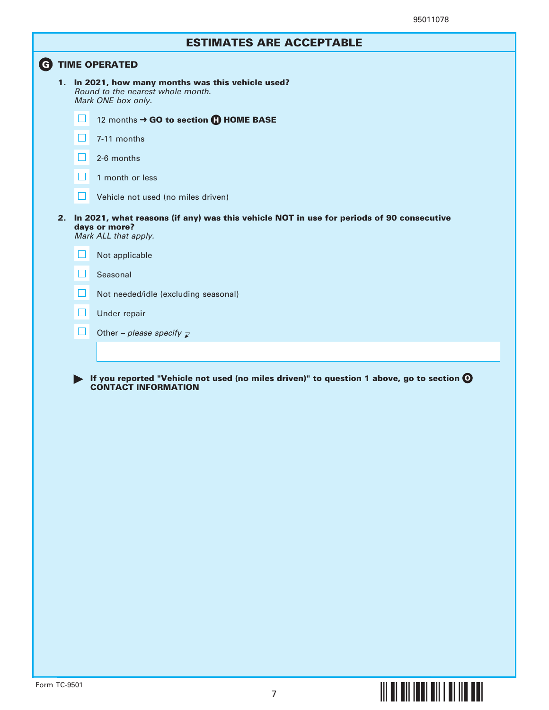# ESTIMATES ARE ACCEPTABLE

|    | <b>TIME OPERATED</b> |                                                                                                                                   |  |  |  |
|----|----------------------|-----------------------------------------------------------------------------------------------------------------------------------|--|--|--|
|    |                      | 1. In 2021, how many months was this vehicle used?<br>Round to the nearest whole month.<br>Mark ONE box only.                     |  |  |  |
|    | Ш                    | 12 months → GO to section <b>(1) HOME BASE</b>                                                                                    |  |  |  |
|    | $\Box$               | 7-11 months                                                                                                                       |  |  |  |
|    |                      | 2-6 months                                                                                                                        |  |  |  |
|    | $\mathsf{L}$         | 1 month or less                                                                                                                   |  |  |  |
|    | $\Box$               | Vehicle not used (no miles driven)                                                                                                |  |  |  |
| 2. |                      | In 2021, what reasons (if any) was this vehicle NOT in use for periods of 90 consecutive<br>days or more?<br>Mark ALL that apply. |  |  |  |
|    | $\mathsf{L}$         | Not applicable                                                                                                                    |  |  |  |
|    | $\Box$               | Seasonal                                                                                                                          |  |  |  |
|    | H                    | Not needed/idle (excluding seasonal)                                                                                              |  |  |  |
|    | ப                    | Under repair                                                                                                                      |  |  |  |
|    | $\Box$               | Other - please specify $\overline{\mathcal{L}}$                                                                                   |  |  |  |
|    |                      |                                                                                                                                   |  |  |  |
|    |                      | If you reported "Vehicle not used (no miles driven)" to question 1 above, go to section $\mathbf O$                               |  |  |  |
|    |                      | <b>CONTACT INFORMATION</b>                                                                                                        |  |  |  |
|    |                      |                                                                                                                                   |  |  |  |
|    |                      |                                                                                                                                   |  |  |  |
|    |                      |                                                                                                                                   |  |  |  |
|    |                      |                                                                                                                                   |  |  |  |
|    |                      |                                                                                                                                   |  |  |  |

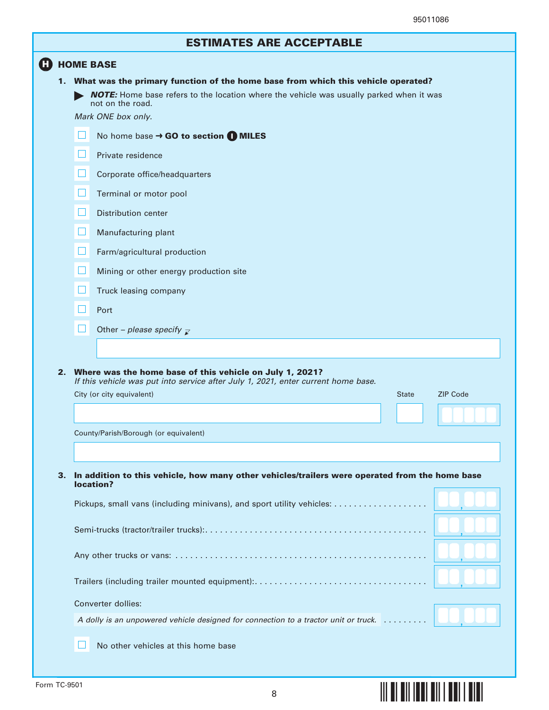**§¢"+w¤**

|    | <b>ESTIMATES ARE ACCEPTABLE</b>                                                                                                                                                                                                 |
|----|---------------------------------------------------------------------------------------------------------------------------------------------------------------------------------------------------------------------------------|
| н  | <b>HOME BASE</b>                                                                                                                                                                                                                |
|    | 1. What was the primary function of the home base from which this vehicle operated?<br><b>NOTE:</b> Home base refers to the location where the vehicle was usually parked when it was<br>not on the road.<br>Mark ONE box only. |
|    | $\mathsf{L}$<br>No home base $\rightarrow$ GO to section $\bigcap$ MILES                                                                                                                                                        |
|    | $\Box$<br>Private residence                                                                                                                                                                                                     |
|    | $\Box$<br>Corporate office/headquarters                                                                                                                                                                                         |
|    | ⊔<br>Terminal or motor pool                                                                                                                                                                                                     |
|    | $\Box$<br>Distribution center                                                                                                                                                                                                   |
|    | $\Box$<br>Manufacturing plant                                                                                                                                                                                                   |
|    | Ш<br>Farm/agricultural production                                                                                                                                                                                               |
|    | $\mathsf{L}$<br>Mining or other energy production site                                                                                                                                                                          |
|    | $\mathsf{L}$<br>Truck leasing company                                                                                                                                                                                           |
|    | Port                                                                                                                                                                                                                            |
|    | Other – please specify $\overline{z}$                                                                                                                                                                                           |
|    |                                                                                                                                                                                                                                 |
|    | 2. Where was the home base of this vehicle on July 1, 2021?<br>If this vehicle was put into service after July 1, 2021, enter current home base.                                                                                |
|    | <b>ZIP Code</b><br>City (or city equivalent)<br><b>State</b>                                                                                                                                                                    |
|    |                                                                                                                                                                                                                                 |
|    | County/Parish/Borough (or equivalent)                                                                                                                                                                                           |
|    |                                                                                                                                                                                                                                 |
| 3. | In addition to this vehicle, how many other vehicles/trailers were operated from the home base<br>location?                                                                                                                     |
|    |                                                                                                                                                                                                                                 |
|    |                                                                                                                                                                                                                                 |
|    |                                                                                                                                                                                                                                 |
|    |                                                                                                                                                                                                                                 |
|    | Converter dollies:                                                                                                                                                                                                              |
|    | A dolly is an unpowered vehicle designed for connection to a tractor unit or truck.                                                                                                                                             |
|    | No other vehicles at this home base                                                                                                                                                                                             |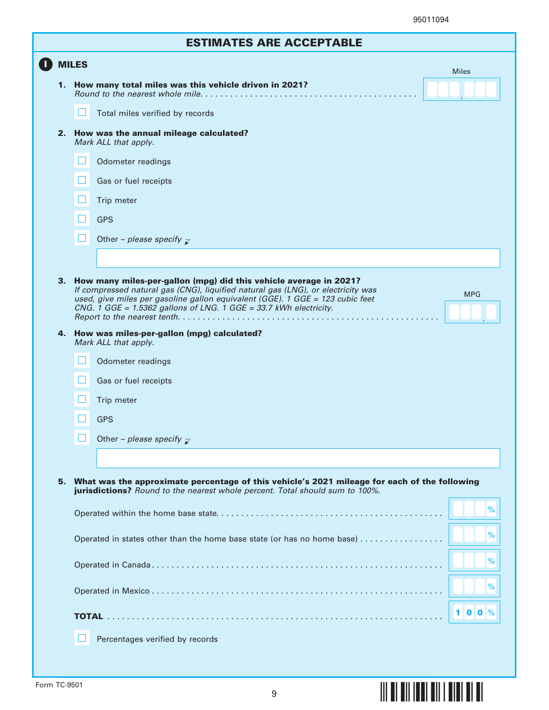**§¢"+¡¤**

|              |  | <b>ESTIMATES ARE ACCEPTABLE</b>                                                                                                                                                                                                                                                                             |              |  |
|--------------|--|-------------------------------------------------------------------------------------------------------------------------------------------------------------------------------------------------------------------------------------------------------------------------------------------------------------|--------------|--|
| <b>MILES</b> |  |                                                                                                                                                                                                                                                                                                             |              |  |
|              |  | 1. How many total miles was this vehicle driven in 2021?                                                                                                                                                                                                                                                    | <b>Miles</b> |  |
|              |  | Total miles verified by records                                                                                                                                                                                                                                                                             |              |  |
| 2.           |  | How was the annual mileage calculated?<br>Mark ALL that apply.                                                                                                                                                                                                                                              |              |  |
|              |  | Odometer readings                                                                                                                                                                                                                                                                                           |              |  |
|              |  | Gas or fuel receipts                                                                                                                                                                                                                                                                                        |              |  |
|              |  | Trip meter                                                                                                                                                                                                                                                                                                  |              |  |
|              |  | <b>GPS</b>                                                                                                                                                                                                                                                                                                  |              |  |
|              |  | Other - please specify $\mathbb{Z}$                                                                                                                                                                                                                                                                         |              |  |
|              |  |                                                                                                                                                                                                                                                                                                             |              |  |
| 3.           |  | How many miles-per-gallon (mpg) did this vehicle average in 2021?<br>If compressed natural gas (CNG), liquified natural gas (LNG), or electricity was<br>used, give miles per gasoline gallon equivalent (GGE). 1 GGE = 123 cubic feet<br>CNG. 1 GGE = 1.5362 gallons of LNG. 1 GGE = 33.7 kWh electricity. | <b>MPG</b>   |  |
|              |  | 4. How was miles-per-gallon (mpg) calculated?<br>Mark ALL that apply.                                                                                                                                                                                                                                       |              |  |
|              |  | Odometer readings                                                                                                                                                                                                                                                                                           |              |  |
|              |  | Gas or fuel receipts                                                                                                                                                                                                                                                                                        |              |  |
|              |  | Trip meter                                                                                                                                                                                                                                                                                                  |              |  |
|              |  | <b>GPS</b>                                                                                                                                                                                                                                                                                                  |              |  |
|              |  | Other - please specify $\mathbb{Z}$                                                                                                                                                                                                                                                                         |              |  |
|              |  |                                                                                                                                                                                                                                                                                                             |              |  |
| 5.           |  | What was the approximate percentage of this vehicle's 2021 mileage for each of the following<br>jurisdictions? Round to the nearest whole percent. Total should sum to 100%.                                                                                                                                |              |  |
|              |  |                                                                                                                                                                                                                                                                                                             | %            |  |
|              |  | Operated in states other than the home base state (or has no home base)                                                                                                                                                                                                                                     | %            |  |
|              |  |                                                                                                                                                                                                                                                                                                             | %            |  |
|              |  |                                                                                                                                                                                                                                                                                                             |              |  |
|              |  |                                                                                                                                                                                                                                                                                                             | %            |  |
|              |  |                                                                                                                                                                                                                                                                                                             | $100\%$      |  |
|              |  |                                                                                                                                                                                                                                                                                                             |              |  |
|              |  | Percentages verified by records                                                                                                                                                                                                                                                                             |              |  |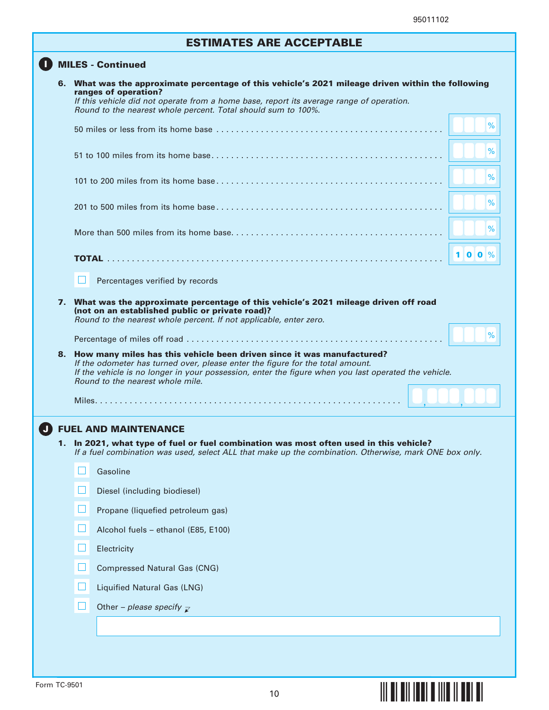**§¢",#¤**

# ESTIMATES ARE ACCEPTABLE

### **D** MILES - Continued

| ranges of operation?             | 6. What was the approximate percentage of this vehicle's 2021 mileage driven within the following<br>If this vehicle did not operate from a home base, report its average range of operation.                                                                       |      |
|----------------------------------|---------------------------------------------------------------------------------------------------------------------------------------------------------------------------------------------------------------------------------------------------------------------|------|
|                                  | Round to the nearest whole percent. Total should sum to 100%.                                                                                                                                                                                                       |      |
|                                  |                                                                                                                                                                                                                                                                     | %    |
|                                  |                                                                                                                                                                                                                                                                     | $\%$ |
|                                  |                                                                                                                                                                                                                                                                     | %    |
|                                  |                                                                                                                                                                                                                                                                     | %    |
|                                  |                                                                                                                                                                                                                                                                     | %    |
|                                  |                                                                                                                                                                                                                                                                     | 100% |
|                                  | Percentages verified by records                                                                                                                                                                                                                                     |      |
|                                  | 7. What was the approximate percentage of this vehicle's 2021 mileage driven off road<br>(not on an established public or private road)?<br>Round to the nearest whole percent. If not applicable, enter zero.                                                      |      |
|                                  |                                                                                                                                                                                                                                                                     | %    |
| Round to the nearest whole mile. | 8. How many miles has this vehicle been driven since it was manufactured?<br>If the odometer has turned over, please enter the figure for the total amount.<br>If the vehicle is no longer in your possession, enter the figure when you last operated the vehicle. |      |
|                                  |                                                                                                                                                                                                                                                                     |      |
| <b>FUEL AND MAINTENANCE</b>      |                                                                                                                                                                                                                                                                     |      |
|                                  | 1. In 2021, what type of fuel or fuel combination was most often used in this vehicle?<br>If a fuel combination was used, select ALL that make up the combination. Otherwise, mark ONE box only.                                                                    |      |
| Gasoline                         |                                                                                                                                                                                                                                                                     |      |
|                                  | Diesel (including biodiesel)                                                                                                                                                                                                                                        |      |
|                                  | Propane (liquefied petroleum gas)                                                                                                                                                                                                                                   |      |
|                                  | Alcohol fuels - ethanol (E85, E100)                                                                                                                                                                                                                                 |      |
| ப<br>Electricity                 |                                                                                                                                                                                                                                                                     |      |
|                                  | <b>Compressed Natural Gas (CNG)</b>                                                                                                                                                                                                                                 |      |
|                                  | Liquified Natural Gas (LNG)                                                                                                                                                                                                                                         |      |
|                                  | Other - please specify $\overline{z}$                                                                                                                                                                                                                               |      |
|                                  |                                                                                                                                                                                                                                                                     |      |
|                                  |                                                                                                                                                                                                                                                                     |      |
|                                  |                                                                                                                                                                                                                                                                     |      |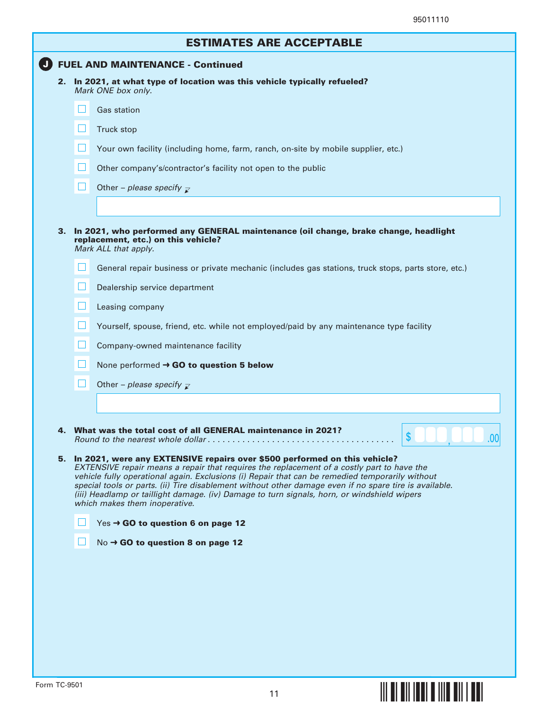|   | <b>ESTIMATES ARE ACCEPTABLE</b>                                                                                                                                                                                                                                                                                                                                                                                                                                                                                                                                                                                                                                                                                                                                      |
|---|----------------------------------------------------------------------------------------------------------------------------------------------------------------------------------------------------------------------------------------------------------------------------------------------------------------------------------------------------------------------------------------------------------------------------------------------------------------------------------------------------------------------------------------------------------------------------------------------------------------------------------------------------------------------------------------------------------------------------------------------------------------------|
|   | <b>FUEL AND MAINTENANCE - Continued</b>                                                                                                                                                                                                                                                                                                                                                                                                                                                                                                                                                                                                                                                                                                                              |
|   | 2. In 2021, at what type of location was this vehicle typically refueled?                                                                                                                                                                                                                                                                                                                                                                                                                                                                                                                                                                                                                                                                                            |
|   | Mark ONE box only.                                                                                                                                                                                                                                                                                                                                                                                                                                                                                                                                                                                                                                                                                                                                                   |
|   | <b>Gas station</b>                                                                                                                                                                                                                                                                                                                                                                                                                                                                                                                                                                                                                                                                                                                                                   |
| H | Truck stop                                                                                                                                                                                                                                                                                                                                                                                                                                                                                                                                                                                                                                                                                                                                                           |
|   | Your own facility (including home, farm, ranch, on-site by mobile supplier, etc.)                                                                                                                                                                                                                                                                                                                                                                                                                                                                                                                                                                                                                                                                                    |
|   | Other company's/contractor's facility not open to the public                                                                                                                                                                                                                                                                                                                                                                                                                                                                                                                                                                                                                                                                                                         |
|   | Other – please specify $\overline{\mathcal{L}}$                                                                                                                                                                                                                                                                                                                                                                                                                                                                                                                                                                                                                                                                                                                      |
|   |                                                                                                                                                                                                                                                                                                                                                                                                                                                                                                                                                                                                                                                                                                                                                                      |
|   | 3. In 2021, who performed any GENERAL maintenance (oil change, brake change, headlight<br>replacement, etc.) on this vehicle?<br>Mark ALL that apply.                                                                                                                                                                                                                                                                                                                                                                                                                                                                                                                                                                                                                |
|   | General repair business or private mechanic (includes gas stations, truck stops, parts store, etc.)                                                                                                                                                                                                                                                                                                                                                                                                                                                                                                                                                                                                                                                                  |
|   | Dealership service department                                                                                                                                                                                                                                                                                                                                                                                                                                                                                                                                                                                                                                                                                                                                        |
| H | Leasing company                                                                                                                                                                                                                                                                                                                                                                                                                                                                                                                                                                                                                                                                                                                                                      |
|   | Yourself, spouse, friend, etc. while not employed/paid by any maintenance type facility                                                                                                                                                                                                                                                                                                                                                                                                                                                                                                                                                                                                                                                                              |
|   | Company-owned maintenance facility                                                                                                                                                                                                                                                                                                                                                                                                                                                                                                                                                                                                                                                                                                                                   |
|   | None performed $\rightarrow$ GO to question 5 below                                                                                                                                                                                                                                                                                                                                                                                                                                                                                                                                                                                                                                                                                                                  |
|   | Other – please specify $\mathbb{Z}$                                                                                                                                                                                                                                                                                                                                                                                                                                                                                                                                                                                                                                                                                                                                  |
|   |                                                                                                                                                                                                                                                                                                                                                                                                                                                                                                                                                                                                                                                                                                                                                                      |
|   | What was the total cost of all GENERAL maintenance in 2021?<br>\$<br>.00<br>Round to the nearest whole dollar, $\ldots$ , $\ldots$ , $\ldots$ , $\ldots$ , $\ldots$ , $\ldots$ , $\ldots$ , $\ldots$<br>5. In 2021, were any EXTENSIVE repairs over \$500 performed on this vehicle?<br>EXTENSIVE repair means a repair that requires the replacement of a costly part to have the<br>vehicle fully operational again. Exclusions (i) Repair that can be remedied temporarily without<br>special tools or parts. (ii) Tire disablement without other damage even if no spare tire is available.<br>(iii) Headlamp or taillight damage. (iv) Damage to turn signals, horn, or windshield wipers<br>which makes them inoperative.<br>Yes → GO to question 6 on page 12 |
|   | No → GO to question 8 on page 12                                                                                                                                                                                                                                                                                                                                                                                                                                                                                                                                                                                                                                                                                                                                     |

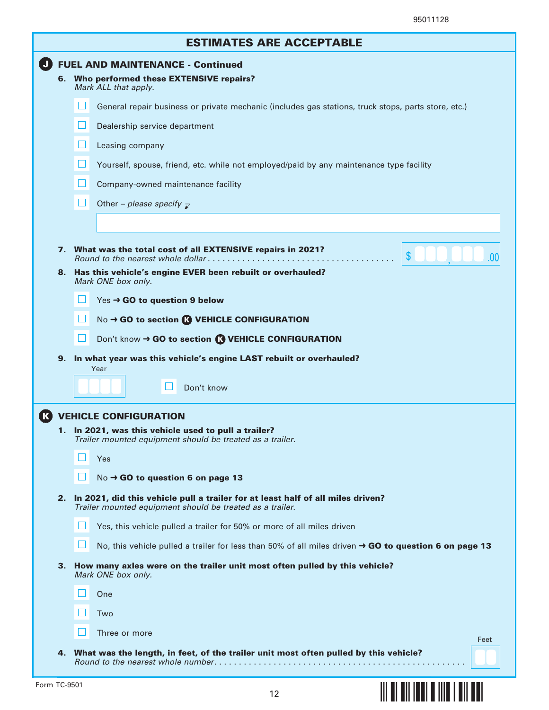**§¢",=¤**

| <b>ESTIMATES ARE ACCEPTABLE</b> |                                                                                                                                              |  |  |
|---------------------------------|----------------------------------------------------------------------------------------------------------------------------------------------|--|--|
|                                 | <b>FUEL AND MAINTENANCE - Continued</b><br>6. Who performed these EXTENSIVE repairs?<br>Mark ALL that apply.                                 |  |  |
|                                 | General repair business or private mechanic (includes gas stations, truck stops, parts store, etc.)                                          |  |  |
|                                 | Dealership service department                                                                                                                |  |  |
|                                 | ப<br>Leasing company                                                                                                                         |  |  |
|                                 | Yourself, spouse, friend, etc. while not employed/paid by any maintenance type facility                                                      |  |  |
|                                 | Company-owned maintenance facility                                                                                                           |  |  |
|                                 | Other - please specify $\overline{\mathcal{L}}$                                                                                              |  |  |
|                                 |                                                                                                                                              |  |  |
|                                 | 7. What was the total cost of all EXTENSIVE repairs in 2021?<br>\$<br>.00                                                                    |  |  |
| 8.                              | Has this vehicle's engine EVER been rebuilt or overhauled?<br>Mark ONE box only.                                                             |  |  |
|                                 | $Yes \rightarrow GO$ to question 9 below                                                                                                     |  |  |
|                                 | No → GO to section <sup>1</sup> VEHICLE CONFIGURATION                                                                                        |  |  |
|                                 | Don't know → GO to section <b>R</b> VEHICLE CONFIGURATION                                                                                    |  |  |
| 9.                              | In what year was this vehicle's engine LAST rebuilt or overhauled?<br>Year                                                                   |  |  |
|                                 | Don't know                                                                                                                                   |  |  |
|                                 | <b>VEHICLE CONFIGURATION</b>                                                                                                                 |  |  |
|                                 | 1. In 2021, was this vehicle used to pull a trailer?<br>Trailer mounted equipment should be treated as a trailer.                            |  |  |
|                                 | Yes                                                                                                                                          |  |  |
|                                 | No → GO to question 6 on page 13                                                                                                             |  |  |
| 2.                              | In 2021, did this vehicle pull a trailer for at least half of all miles driven?<br>Trailer mounted equipment should be treated as a trailer. |  |  |
|                                 | Yes, this vehicle pulled a trailer for 50% or more of all miles driven                                                                       |  |  |
|                                 | No, this vehicle pulled a trailer for less than 50% of all miles driven $\rightarrow$ GO to question 6 on page 13                            |  |  |
| З.                              | How many axles were on the trailer unit most often pulled by this vehicle?<br>Mark ONE box only.                                             |  |  |
|                                 | One                                                                                                                                          |  |  |
|                                 | Two                                                                                                                                          |  |  |
|                                 | Three or more<br>Feet                                                                                                                        |  |  |
| 4.                              | What was the length, in feet, of the trailer unit most often pulled by this vehicle?                                                         |  |  |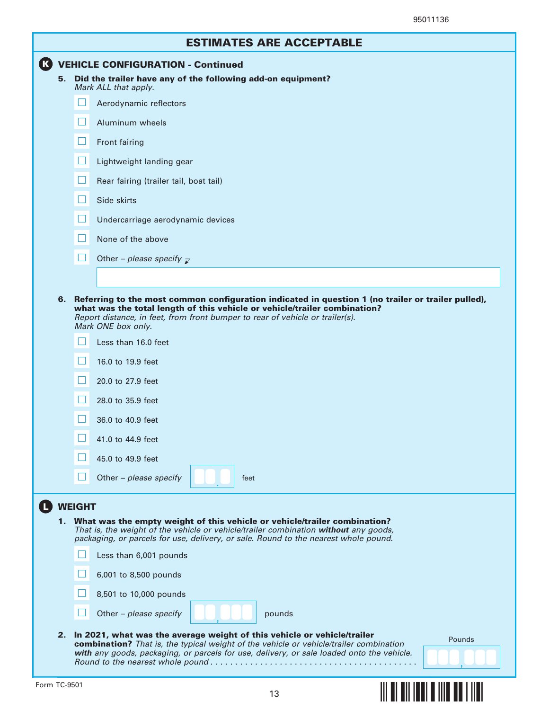|    | <b>ESTIMATES ARE ACCEPTABLE</b>                             |
|----|-------------------------------------------------------------|
|    | <b>K</b> VEHICLE CONFIGURATION - Continued                  |
| 5. | Did the trailer have any of the following add-on equipment? |

- Mark ALL that apply.  $\Box$ Aerodynamic reflectors  $\Box$ Aluminum wheels  $\Box$  Front fairing  $\Box$  Lightweight landing gear Ш Rear fairing (trailer tail, boat tail) **FIL** Side skirts Undercarriage aerodynamic devices H ш None of the above  $\Box$ Other – please specify  $\bar{\mathbf{z}}$
- 6. Referring to the most common configuration indicated in question 1 (no trailer or trailer pulled), what was the total length of this vehicle or vehicle/trailer combination? Report distance, in feet, from front bumper to rear of vehicle or trailer(s). Mark ONE box only.

|    |               | Less than 16.0 feet                                                                                                                                                                                                                                      |
|----|---------------|----------------------------------------------------------------------------------------------------------------------------------------------------------------------------------------------------------------------------------------------------------|
|    | $\Box$        | 16.0 to 19.9 feet                                                                                                                                                                                                                                        |
|    |               | 20.0 to 27.9 feet                                                                                                                                                                                                                                        |
|    |               | 28.0 to 35.9 feet                                                                                                                                                                                                                                        |
|    |               | 36.0 to 40.9 feet                                                                                                                                                                                                                                        |
|    | $\mathbf{1}$  | 41.0 to 44.9 feet                                                                                                                                                                                                                                        |
|    | Ш             | 45.0 to 49.9 feet                                                                                                                                                                                                                                        |
|    | $\mathsf{L}$  | Other - please specify<br>feet                                                                                                                                                                                                                           |
|    | <b>WEIGHT</b> |                                                                                                                                                                                                                                                          |
| 1. |               | What was the empty weight of this vehicle or vehicle/trailer combination?<br>That is, the weight of the vehicle or vehicle/trailer combination without any goods,<br>packaging, or parcels for use, delivery, or sale. Round to the nearest whole pound. |
|    |               | Less than 6,001 pounds                                                                                                                                                                                                                                   |
|    |               | 6,001 to 8,500 pounds                                                                                                                                                                                                                                    |
|    |               | 8,501 to 10,000 pounds                                                                                                                                                                                                                                   |

2. In 2021, what was the average weight of this vehicle or vehicle/trailer combination? That is, the typical weight of the vehicle or vehicle/trailer combination **with** any goods, packaging, or parcels for use, delivery, or sale loaded onto the vehicle. Round to the nearest whole pound . . . . . . . . . . . . . . . . . . . . . . . . . . . . . . . . . . . . . . . . . .



,

**§¢",E¤**

 $\Box$ 

Other – please specify

 $\mathbf 0$ 

pounds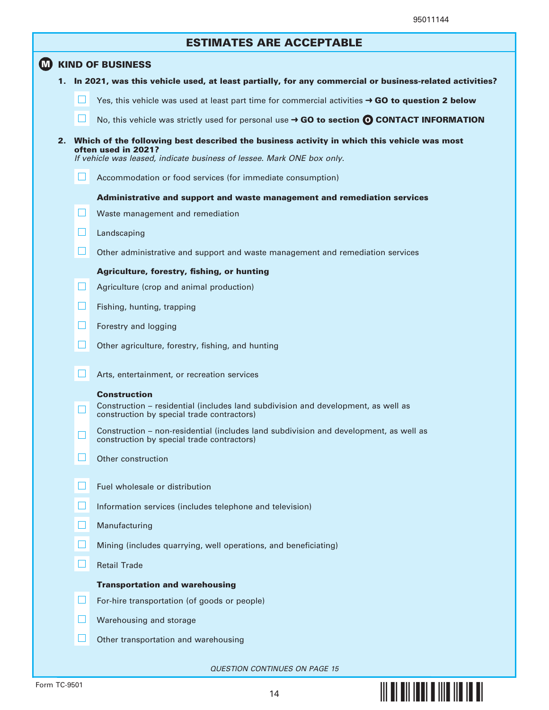**§¢",M¤**

| <b>ESTIMATES ARE ACCEPTABLE</b> |  |  |  |
|---------------------------------|--|--|--|
|---------------------------------|--|--|--|

|    |    | ESTIMATES ANE ACCEPTABLE                                                                                                                                                                       |
|----|----|------------------------------------------------------------------------------------------------------------------------------------------------------------------------------------------------|
| M) |    | <b>KIND OF BUSINESS</b>                                                                                                                                                                        |
|    | 1. | In 2021, was this vehicle used, at least partially, for any commercial or business-related activities?                                                                                         |
|    |    | Yes, this vehicle was used at least part time for commercial activities $\rightarrow$ GO to question 2 below                                                                                   |
|    |    | No, this vehicle was strictly used for personal use $\rightarrow$ GO to section $\odot$ CONTACT INFORMATION                                                                                    |
|    |    | 2. Which of the following best described the business activity in which this vehicle was most<br>often used in 2021?<br>If vehicle was leased, indicate business of lessee. Mark ONE box only. |
|    |    | ப<br>Accommodation or food services (for immediate consumption)                                                                                                                                |
|    |    | Administrative and support and waste management and remediation services                                                                                                                       |
|    |    | ப<br>Waste management and remediation                                                                                                                                                          |
|    |    | $\Box$<br>Landscaping                                                                                                                                                                          |
|    |    | $\Box$<br>Other administrative and support and waste management and remediation services                                                                                                       |
|    |    | Agriculture, forestry, fishing, or hunting                                                                                                                                                     |
|    |    | $\Box$<br>Agriculture (crop and animal production)                                                                                                                                             |
|    |    | $\Box$<br>Fishing, hunting, trapping                                                                                                                                                           |
|    |    | ⊔<br>Forestry and logging                                                                                                                                                                      |
|    |    | $\Box$<br>Other agriculture, forestry, fishing, and hunting                                                                                                                                    |
|    |    | Arts, entertainment, or recreation services                                                                                                                                                    |
|    |    | <b>Construction</b>                                                                                                                                                                            |
|    |    | Construction - residential (includes land subdivision and development, as well as<br>construction by special trade contractors)                                                                |
|    |    | Construction – non-residential (includes land subdivision and development, as well as<br>construction by special trade contractors)                                                            |
|    |    | Other construction                                                                                                                                                                             |
|    |    | Fuel wholesale or distribution                                                                                                                                                                 |
|    |    | Information services (includes telephone and television)                                                                                                                                       |
|    |    | Manufacturing                                                                                                                                                                                  |
|    |    | Mining (includes quarrying, well operations, and beneficiating)                                                                                                                                |
|    |    | $\Box$<br><b>Retail Trade</b>                                                                                                                                                                  |
|    |    | <b>Transportation and warehousing</b>                                                                                                                                                          |
|    |    | H<br>For-hire transportation (of goods or people)                                                                                                                                              |
|    |    | Warehousing and storage                                                                                                                                                                        |
|    |    | Other transportation and warehousing                                                                                                                                                           |
|    |    |                                                                                                                                                                                                |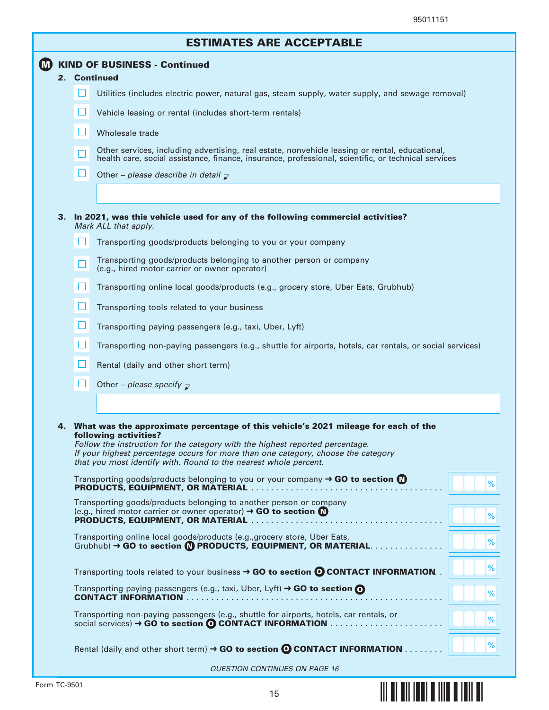**§¢",T¤**

|   |                                     |        | <b>ESTIMATES ARE ACCEPTABLE</b>                                                                                                                                                                                                                                                                                                                                                                                                                                                  |
|---|-------------------------------------|--------|----------------------------------------------------------------------------------------------------------------------------------------------------------------------------------------------------------------------------------------------------------------------------------------------------------------------------------------------------------------------------------------------------------------------------------------------------------------------------------|
| M | <b>KIND OF BUSINESS - Continued</b> |        |                                                                                                                                                                                                                                                                                                                                                                                                                                                                                  |
|   |                                     |        | 2. Continued                                                                                                                                                                                                                                                                                                                                                                                                                                                                     |
|   |                                     |        | Utilities (includes electric power, natural gas, steam supply, water supply, and sewage removal)                                                                                                                                                                                                                                                                                                                                                                                 |
|   |                                     |        | Vehicle leasing or rental (includes short-term rentals)                                                                                                                                                                                                                                                                                                                                                                                                                          |
|   |                                     |        | Wholesale trade                                                                                                                                                                                                                                                                                                                                                                                                                                                                  |
|   |                                     |        | Other services, including advertising, real estate, nonvehicle leasing or rental, educational,<br>health care, social assistance, finance, insurance, professional, scientific, or technical services                                                                                                                                                                                                                                                                            |
|   |                                     | $\Box$ | Other – please describe in detail $\bar{z}$                                                                                                                                                                                                                                                                                                                                                                                                                                      |
|   |                                     |        |                                                                                                                                                                                                                                                                                                                                                                                                                                                                                  |
|   |                                     |        | 3. In 2021, was this vehicle used for any of the following commercial activities?<br>Mark ALL that apply.                                                                                                                                                                                                                                                                                                                                                                        |
|   |                                     |        | Transporting goods/products belonging to you or your company                                                                                                                                                                                                                                                                                                                                                                                                                     |
|   |                                     |        | Transporting goods/products belonging to another person or company<br>(e.g., hired motor carrier or owner operator)                                                                                                                                                                                                                                                                                                                                                              |
|   |                                     |        | Transporting online local goods/products (e.g., grocery store, Uber Eats, Grubhub)                                                                                                                                                                                                                                                                                                                                                                                               |
|   |                                     | H      | Transporting tools related to your business                                                                                                                                                                                                                                                                                                                                                                                                                                      |
|   |                                     | ш      | Transporting paying passengers (e.g., taxi, Uber, Lyft)                                                                                                                                                                                                                                                                                                                                                                                                                          |
|   |                                     |        | Transporting non-paying passengers (e.g., shuttle for airports, hotels, car rentals, or social services)                                                                                                                                                                                                                                                                                                                                                                         |
|   |                                     |        | Rental (daily and other short term)                                                                                                                                                                                                                                                                                                                                                                                                                                              |
|   |                                     |        | Other – please specify $\overline{z}$                                                                                                                                                                                                                                                                                                                                                                                                                                            |
|   |                                     |        |                                                                                                                                                                                                                                                                                                                                                                                                                                                                                  |
|   |                                     |        | 4. What was the approximate percentage of this vehicle's 2021 mileage for each of the<br>following activities?<br>Follow the instruction for the category with the highest reported percentage.<br>If your highest percentage occurs for more than one category, choose the category<br>that you most identify with. Round to the nearest whole percent.<br>Transporting goods/products belonging to you or your company $\rightarrow$ GO to section $\bigcirc$<br>$\frac{9}{6}$ |
|   |                                     |        | Transporting goods/products belonging to another person or company<br>(e.g., hired motor carrier or owner operator) $\rightarrow$ GO to section $\bullet$<br>%                                                                                                                                                                                                                                                                                                                   |
|   |                                     |        | Transporting online local goods/products (e.g., grocery store, Uber Eats,<br>$\frac{9}{6}$<br>$Grubhub$ ) $\rightarrow$ GO to section $\bigcirc$ PRODUCTS, EQUIPMENT, OR MATERIAL $\ldots$                                                                                                                                                                                                                                                                                       |
|   |                                     |        | %<br>Transporting tools related to your business $\rightarrow$ GO to section $\odot$ CONTACT INFORMATION.                                                                                                                                                                                                                                                                                                                                                                        |
|   |                                     |        | Transporting paying passengers (e.g., taxi, Uber, Lyft) $\rightarrow$ GO to section $\odot$<br>$\%$                                                                                                                                                                                                                                                                                                                                                                              |
|   |                                     |        | Transporting non-paying passengers (e.g., shuttle for airports, hotels, car rentals, or<br>%                                                                                                                                                                                                                                                                                                                                                                                     |
|   |                                     |        | $\%$<br>Rental (daily and other short term) $\rightarrow$ GO to section $\odot$ CONTACT INFORMATION                                                                                                                                                                                                                                                                                                                                                                              |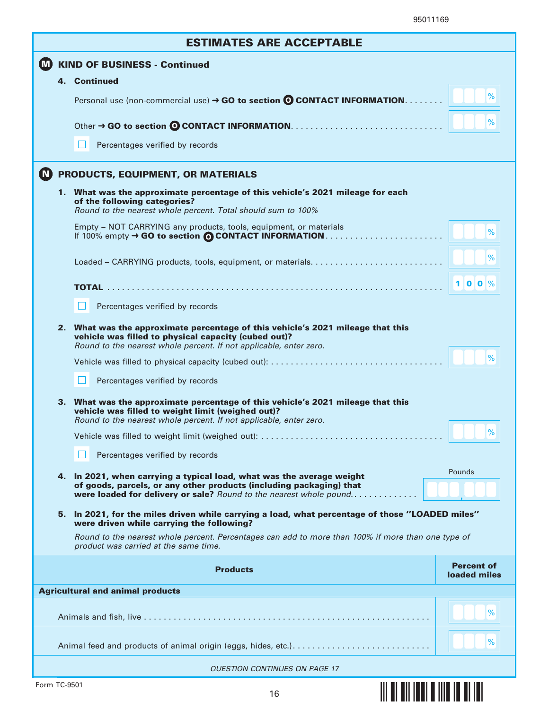|                | <b>ESTIMATES ARE ACCEPTABLE</b> |                                                                                                                                                                                                            |                                   |  |
|----------------|---------------------------------|------------------------------------------------------------------------------------------------------------------------------------------------------------------------------------------------------------|-----------------------------------|--|
| $\blacksquare$ |                                 | <b>KIND OF BUSINESS - Continued</b>                                                                                                                                                                        |                                   |  |
|                |                                 | 4. Continued                                                                                                                                                                                               |                                   |  |
|                |                                 | Personal use (non-commercial use) → GO to section © CONTACT INFORMATION.                                                                                                                                   | %                                 |  |
|                |                                 |                                                                                                                                                                                                            | $\%$                              |  |
|                |                                 | Percentages verified by records                                                                                                                                                                            |                                   |  |
| $\mathbf{C}$   |                                 | PRODUCTS, EQUIPMENT, OR MATERIALS                                                                                                                                                                          |                                   |  |
|                |                                 | 1. What was the approximate percentage of this vehicle's 2021 mileage for each<br>of the following categories?<br>Round to the nearest whole percent. Total should sum to 100%                             |                                   |  |
|                |                                 | Empty - NOT CARRYING any products, tools, equipment, or materials                                                                                                                                          | %                                 |  |
|                |                                 |                                                                                                                                                                                                            | %                                 |  |
|                |                                 |                                                                                                                                                                                                            | $100\%$                           |  |
|                |                                 | Percentages verified by records                                                                                                                                                                            |                                   |  |
|                | 2.                              | What was the approximate percentage of this vehicle's 2021 mileage that this<br>vehicle was filled to physical capacity (cubed out)?<br>Round to the nearest whole percent. If not applicable, enter zero. |                                   |  |
|                |                                 |                                                                                                                                                                                                            | %                                 |  |
|                |                                 | Percentages verified by records                                                                                                                                                                            |                                   |  |
|                |                                 | 3. What was the approximate percentage of this vehicle's 2021 mileage that this<br>vehicle was filled to weight limit (weighed out)?<br>Round to the nearest whole percent. If not applicable, enter zero. |                                   |  |
|                |                                 |                                                                                                                                                                                                            | %                                 |  |
|                |                                 | Percentages verified by records                                                                                                                                                                            |                                   |  |
|                | 4.                              | In 2021, when carrying a typical load, what was the average weight                                                                                                                                         | Pounds                            |  |
|                |                                 | of goods, parcels, or any other products (including packaging) that<br>were loaded for delivery or sale? Round to the nearest whole pound                                                                  |                                   |  |
|                | 5.                              | In 2021, for the miles driven while carrying a load, what percentage of those "LOADED miles"<br>were driven while carrying the following?                                                                  |                                   |  |
|                |                                 | Round to the nearest whole percent. Percentages can add to more than 100% if more than one type of<br>product was carried at the same time.                                                                |                                   |  |
|                |                                 | <b>Products</b>                                                                                                                                                                                            | <b>Percent of</b><br>loaded miles |  |
|                |                                 | <b>Agricultural and animal products</b>                                                                                                                                                                    |                                   |  |
|                |                                 |                                                                                                                                                                                                            | %                                 |  |
|                |                                 |                                                                                                                                                                                                            | $\%$                              |  |
|                |                                 | <b>QUESTION CONTINUES ON PAGE 17</b>                                                                                                                                                                       |                                   |  |
| Form TC-9501   |                                 | <u>                                     </u><br>16                                                                                                                                                         |                                   |  |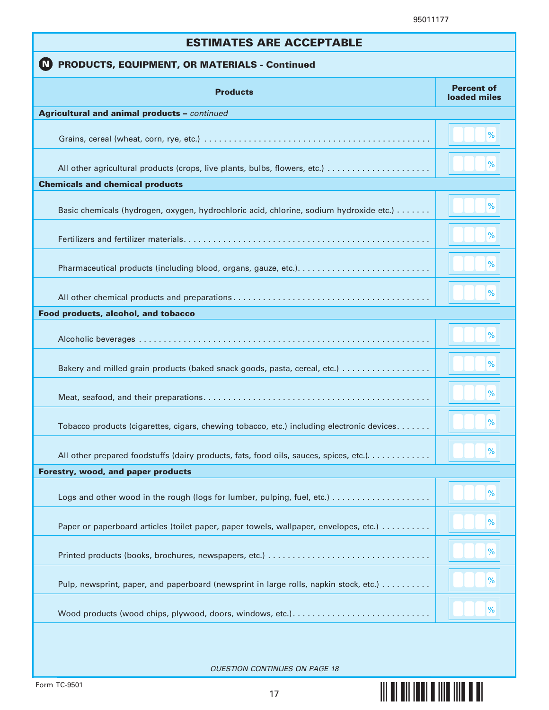**§¢",n¤**

| <b>ESTIMATES ARE ACCEPTABLE</b>                                                            |                                   |  |  |  |
|--------------------------------------------------------------------------------------------|-----------------------------------|--|--|--|
| <b>PRODUCTS, EQUIPMENT, OR MATERIALS - Continued</b>                                       |                                   |  |  |  |
| <b>Products</b>                                                                            | <b>Percent of</b><br>loaded miles |  |  |  |
| <b>Agricultural and animal products - continued</b>                                        |                                   |  |  |  |
|                                                                                            | %                                 |  |  |  |
|                                                                                            | %                                 |  |  |  |
| <b>Chemicals and chemical products</b>                                                     |                                   |  |  |  |
| Basic chemicals (hydrogen, oxygen, hydrochloric acid, chlorine, sodium hydroxide etc.)     | %                                 |  |  |  |
|                                                                                            | %                                 |  |  |  |
|                                                                                            | %                                 |  |  |  |
|                                                                                            | %                                 |  |  |  |
| Food products, alcohol, and tobacco                                                        |                                   |  |  |  |
|                                                                                            | %                                 |  |  |  |
| Bakery and milled grain products (baked snack goods, pasta, cereal, etc.)                  | %                                 |  |  |  |
|                                                                                            | %                                 |  |  |  |
| Tobacco products (cigarettes, cigars, chewing tobacco, etc.) including electronic devices. | %                                 |  |  |  |
| All other prepared foodstuffs (dairy products, fats, food oils, sauces, spices, etc.).     | %                                 |  |  |  |
| Forestry, wood, and paper products                                                         |                                   |  |  |  |
|                                                                                            | %                                 |  |  |  |
| Paper or paperboard articles (toilet paper, paper towels, wallpaper, envelopes, etc.)      | $\%$                              |  |  |  |
|                                                                                            | %                                 |  |  |  |
| Pulp, newsprint, paper, and paperboard (newsprint in large rolls, napkin stock, etc.)      | $\%$                              |  |  |  |
|                                                                                            | $\%$                              |  |  |  |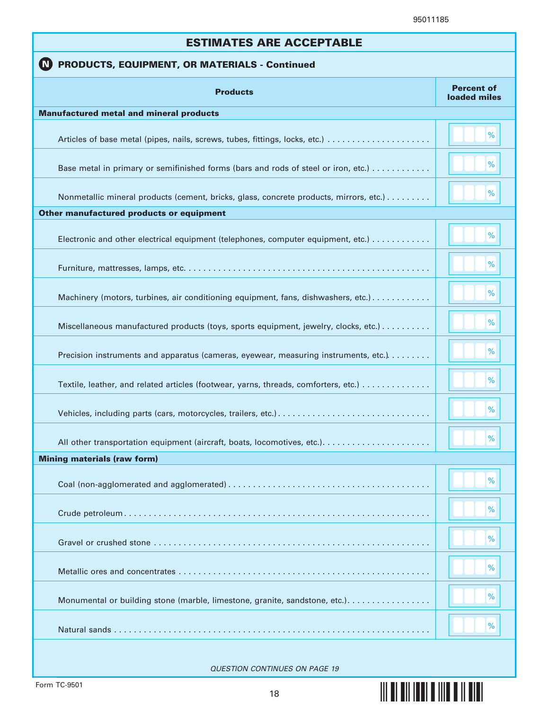**§¢",v¤**

| <b>ESTIMATES ARE ACCEPTABLE</b>                                                        |                                   |  |  |  |
|----------------------------------------------------------------------------------------|-----------------------------------|--|--|--|
| PRODUCTS, EQUIPMENT, OR MATERIALS - Continued<br>(N)                                   |                                   |  |  |  |
| <b>Products</b>                                                                        | <b>Percent of</b><br>loaded miles |  |  |  |
| <b>Manufactured metal and mineral products</b>                                         |                                   |  |  |  |
|                                                                                        | %                                 |  |  |  |
| Base metal in primary or semifinished forms (bars and rods of steel or iron, etc.)     | $\%$                              |  |  |  |
| Nonmetallic mineral products (cement, bricks, glass, concrete products, mirrors, etc.) | %                                 |  |  |  |
| Other manufactured products or equipment                                               |                                   |  |  |  |
| Electronic and other electrical equipment (telephones, computer equipment, etc.)       | %                                 |  |  |  |
|                                                                                        | %                                 |  |  |  |
| Machinery (motors, turbines, air conditioning equipment, fans, dishwashers, etc.)      | $\%$                              |  |  |  |
| Miscellaneous manufactured products (toys, sports equipment, jewelry, clocks, etc.)    | $\%$                              |  |  |  |
| Precision instruments and apparatus (cameras, eyewear, measuring instruments, etc.).   | $\%$                              |  |  |  |
| Textile, leather, and related articles (footwear, yarns, threads, comforters, etc.)    | %                                 |  |  |  |
|                                                                                        | %                                 |  |  |  |
|                                                                                        | $\frac{9}{6}$                     |  |  |  |
| <b>Mining materials (raw form)</b>                                                     |                                   |  |  |  |
|                                                                                        | %                                 |  |  |  |
|                                                                                        | %                                 |  |  |  |
|                                                                                        | $\%$                              |  |  |  |
|                                                                                        | $\%$                              |  |  |  |
| Monumental or building stone (marble, limestone, granite, sandstone, etc.).            | $\%$                              |  |  |  |
|                                                                                        | %                                 |  |  |  |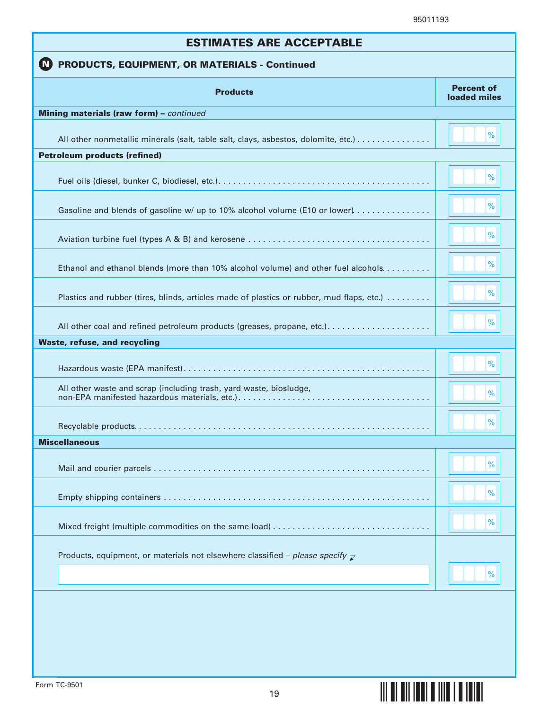| <b>ESTIMATES ARE ACCEPTABLE</b>                                                           |                                   |  |  |
|-------------------------------------------------------------------------------------------|-----------------------------------|--|--|
| PRODUCTS, EQUIPMENT, OR MATERIALS - Continued<br>$\blacksquare$                           |                                   |  |  |
| <b>Products</b>                                                                           | <b>Percent of</b><br>loaded miles |  |  |
| Mining materials (raw form) - continued                                                   |                                   |  |  |
| All other nonmetallic minerals (salt, table salt, clays, asbestos, dolomite, etc.)        | %                                 |  |  |
| <b>Petroleum products (refined)</b>                                                       |                                   |  |  |
|                                                                                           | %                                 |  |  |
| Gasoline and blends of gasoline w/ up to 10% alcohol volume (E10 or lower)                | %                                 |  |  |
|                                                                                           | %                                 |  |  |
| Ethanol and ethanol blends (more than 10% alcohol volume) and other fuel alcohols         | %                                 |  |  |
| Plastics and rubber (tires, blinds, articles made of plastics or rubber, mud flaps, etc.) | %                                 |  |  |
| All other coal and refined petroleum products (greases, propane, etc.)                    | %                                 |  |  |
| <b>Waste, refuse, and recycling</b>                                                       |                                   |  |  |
|                                                                                           | %                                 |  |  |
| All other waste and scrap (including trash, yard waste, biosludge,                        | %                                 |  |  |
|                                                                                           | %                                 |  |  |
| <b>Miscellaneous</b>                                                                      |                                   |  |  |
|                                                                                           | %                                 |  |  |
|                                                                                           | %                                 |  |  |
|                                                                                           | %                                 |  |  |
| Products, equipment, or materials not elsewhere classified – please specify $\mathbb Z$   | %                                 |  |  |
|                                                                                           |                                   |  |  |